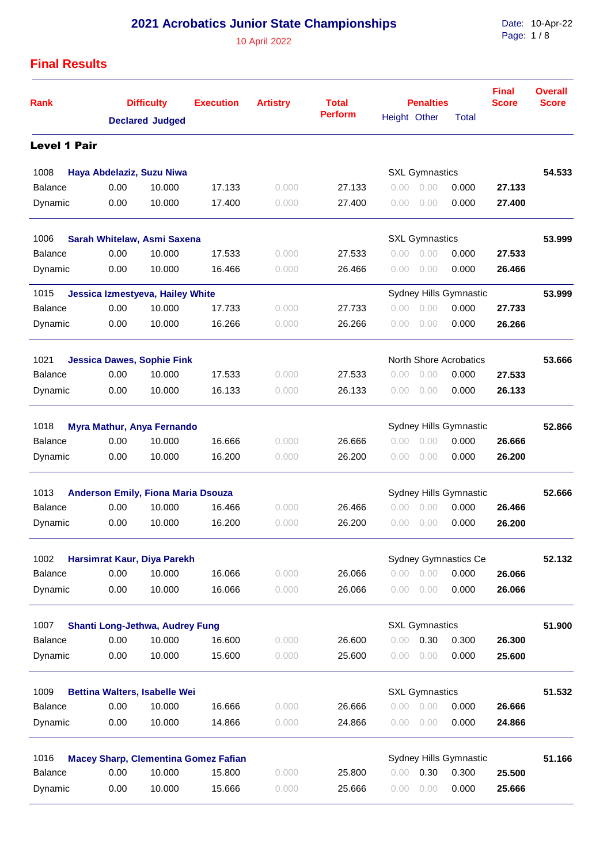10 April 2022

Date: Page: 10-Apr-22 1 / 8

| <b>Perform</b><br>Height Other<br>Total<br><b>Declared Judged</b><br><b>Level 1 Pair</b><br>1008<br><b>SXL Gymnastics</b><br>Haya Abdelaziz, Suzu Niwa<br>27.133<br><b>Balance</b><br>0.00<br>10.000<br>17.133<br>0.00<br>0.000<br>0.000<br>0.00<br>10.000<br>Dynamic<br>0.00<br>17.400<br>0.000<br>27.400<br>0.000<br>0.00<br>0.00<br>1006<br><b>SXL Gymnastics</b><br>Sarah Whitelaw, Asmi Saxena<br><b>Balance</b><br>0.00<br>10.000<br>27.533<br>17.533<br>0.000<br>0.00<br>0.00<br>0.000<br>Dynamic<br>0.00<br>10.000<br>16.466<br>0.000<br>26.466<br>0.00<br>0.000<br>0.00<br>1015<br>Jessica Izmestyeva, Hailey White<br>Sydney Hills Gymnastic<br>Balance<br>0.00<br>10.000<br>27.733<br>0.000<br>17.733<br>0.000<br>0.00<br>0.00<br>10.000<br>Dynamic<br>0.00<br>16.266<br>26.266<br>0.000<br>0.000<br>0.00<br>0.00<br>1021<br><b>North Shore Acrobatics</b><br><b>Jessica Dawes, Sophie Fink</b><br>0.00<br>27.533<br><b>Balance</b><br>10.000<br>17.533<br>0.000<br>0.00<br>0.000<br>0.00<br>Dynamic<br>0.00<br>10.000<br>16.133<br>26.133<br>0.000<br>0.000<br>0.00<br>0.00<br>1018<br>Myra Mathur, Anya Fernando<br>Sydney Hills Gymnastic<br>0.00<br>10.000<br>16.666<br><b>Balance</b><br>0.000<br>26.666<br>0.000<br>0.00<br>0.00<br>Dynamic<br>0.00<br>10.000<br>16.200<br>26.200<br>0.000<br>0.000<br>0.00<br>0.00 |        |        |
|--------------------------------------------------------------------------------------------------------------------------------------------------------------------------------------------------------------------------------------------------------------------------------------------------------------------------------------------------------------------------------------------------------------------------------------------------------------------------------------------------------------------------------------------------------------------------------------------------------------------------------------------------------------------------------------------------------------------------------------------------------------------------------------------------------------------------------------------------------------------------------------------------------------------------------------------------------------------------------------------------------------------------------------------------------------------------------------------------------------------------------------------------------------------------------------------------------------------------------------------------------------------------------------------------------------------------------------|--------|--------|
|                                                                                                                                                                                                                                                                                                                                                                                                                                                                                                                                                                                                                                                                                                                                                                                                                                                                                                                                                                                                                                                                                                                                                                                                                                                                                                                                      |        |        |
|                                                                                                                                                                                                                                                                                                                                                                                                                                                                                                                                                                                                                                                                                                                                                                                                                                                                                                                                                                                                                                                                                                                                                                                                                                                                                                                                      |        |        |
|                                                                                                                                                                                                                                                                                                                                                                                                                                                                                                                                                                                                                                                                                                                                                                                                                                                                                                                                                                                                                                                                                                                                                                                                                                                                                                                                      |        | 54.533 |
|                                                                                                                                                                                                                                                                                                                                                                                                                                                                                                                                                                                                                                                                                                                                                                                                                                                                                                                                                                                                                                                                                                                                                                                                                                                                                                                                      | 27.133 |        |
|                                                                                                                                                                                                                                                                                                                                                                                                                                                                                                                                                                                                                                                                                                                                                                                                                                                                                                                                                                                                                                                                                                                                                                                                                                                                                                                                      | 27.400 |        |
|                                                                                                                                                                                                                                                                                                                                                                                                                                                                                                                                                                                                                                                                                                                                                                                                                                                                                                                                                                                                                                                                                                                                                                                                                                                                                                                                      |        | 53.999 |
|                                                                                                                                                                                                                                                                                                                                                                                                                                                                                                                                                                                                                                                                                                                                                                                                                                                                                                                                                                                                                                                                                                                                                                                                                                                                                                                                      | 27.533 |        |
|                                                                                                                                                                                                                                                                                                                                                                                                                                                                                                                                                                                                                                                                                                                                                                                                                                                                                                                                                                                                                                                                                                                                                                                                                                                                                                                                      | 26.466 |        |
|                                                                                                                                                                                                                                                                                                                                                                                                                                                                                                                                                                                                                                                                                                                                                                                                                                                                                                                                                                                                                                                                                                                                                                                                                                                                                                                                      |        | 53.999 |
|                                                                                                                                                                                                                                                                                                                                                                                                                                                                                                                                                                                                                                                                                                                                                                                                                                                                                                                                                                                                                                                                                                                                                                                                                                                                                                                                      | 27.733 |        |
|                                                                                                                                                                                                                                                                                                                                                                                                                                                                                                                                                                                                                                                                                                                                                                                                                                                                                                                                                                                                                                                                                                                                                                                                                                                                                                                                      | 26.266 |        |
|                                                                                                                                                                                                                                                                                                                                                                                                                                                                                                                                                                                                                                                                                                                                                                                                                                                                                                                                                                                                                                                                                                                                                                                                                                                                                                                                      |        | 53.666 |
|                                                                                                                                                                                                                                                                                                                                                                                                                                                                                                                                                                                                                                                                                                                                                                                                                                                                                                                                                                                                                                                                                                                                                                                                                                                                                                                                      | 27.533 |        |
|                                                                                                                                                                                                                                                                                                                                                                                                                                                                                                                                                                                                                                                                                                                                                                                                                                                                                                                                                                                                                                                                                                                                                                                                                                                                                                                                      | 26.133 |        |
|                                                                                                                                                                                                                                                                                                                                                                                                                                                                                                                                                                                                                                                                                                                                                                                                                                                                                                                                                                                                                                                                                                                                                                                                                                                                                                                                      |        | 52.866 |
|                                                                                                                                                                                                                                                                                                                                                                                                                                                                                                                                                                                                                                                                                                                                                                                                                                                                                                                                                                                                                                                                                                                                                                                                                                                                                                                                      | 26.666 |        |
|                                                                                                                                                                                                                                                                                                                                                                                                                                                                                                                                                                                                                                                                                                                                                                                                                                                                                                                                                                                                                                                                                                                                                                                                                                                                                                                                      | 26.200 |        |
| 1013<br><b>Anderson Emily, Fiona Maria Dsouza</b><br>Sydney Hills Gymnastic                                                                                                                                                                                                                                                                                                                                                                                                                                                                                                                                                                                                                                                                                                                                                                                                                                                                                                                                                                                                                                                                                                                                                                                                                                                          |        | 52.666 |
| 0.00<br><b>Balance</b><br>10.000<br>16.466<br>0.000<br>26.466<br>0.00<br>0.000<br>0.00                                                                                                                                                                                                                                                                                                                                                                                                                                                                                                                                                                                                                                                                                                                                                                                                                                                                                                                                                                                                                                                                                                                                                                                                                                               | 26.466 |        |
| 0.00<br>10.000<br>16.200<br>0.000<br>Dynamic<br>0.000<br>26.200<br>0.00<br>0.00                                                                                                                                                                                                                                                                                                                                                                                                                                                                                                                                                                                                                                                                                                                                                                                                                                                                                                                                                                                                                                                                                                                                                                                                                                                      | 26.200 |        |
| 1002<br>Harsimrat Kaur, Diya Parekh<br><b>Sydney Gymnastics Ce</b>                                                                                                                                                                                                                                                                                                                                                                                                                                                                                                                                                                                                                                                                                                                                                                                                                                                                                                                                                                                                                                                                                                                                                                                                                                                                   |        | 52.132 |
| <b>Balance</b><br>0.00<br>10.000<br>26.066<br>0.00<br>0.000<br>16.066<br>0.000<br>0.00                                                                                                                                                                                                                                                                                                                                                                                                                                                                                                                                                                                                                                                                                                                                                                                                                                                                                                                                                                                                                                                                                                                                                                                                                                               | 26.066 |        |
| 0.00<br>10.000<br>0.000<br>Dynamic<br>16.066<br>0.000<br>26.066<br>0.00<br>0.00                                                                                                                                                                                                                                                                                                                                                                                                                                                                                                                                                                                                                                                                                                                                                                                                                                                                                                                                                                                                                                                                                                                                                                                                                                                      | 26.066 |        |
| <b>SXL Gymnastics</b><br>1007<br>Shanti Long-Jethwa, Audrey Fung                                                                                                                                                                                                                                                                                                                                                                                                                                                                                                                                                                                                                                                                                                                                                                                                                                                                                                                                                                                                                                                                                                                                                                                                                                                                     |        | 51.900 |
| 0.00<br><b>Balance</b><br>10.000<br>16.600<br>26.600<br>0.30<br>0.300<br>0.000<br>0.00                                                                                                                                                                                                                                                                                                                                                                                                                                                                                                                                                                                                                                                                                                                                                                                                                                                                                                                                                                                                                                                                                                                                                                                                                                               | 26.300 |        |
| 10.000<br>15.600<br>25.600<br>0.000<br>Dynamic<br>0.00<br>0.000<br>0.00<br>0.00                                                                                                                                                                                                                                                                                                                                                                                                                                                                                                                                                                                                                                                                                                                                                                                                                                                                                                                                                                                                                                                                                                                                                                                                                                                      | 25.600 |        |
| 1009<br><b>SXL Gymnastics</b><br><b>Bettina Walters, Isabelle Wei</b>                                                                                                                                                                                                                                                                                                                                                                                                                                                                                                                                                                                                                                                                                                                                                                                                                                                                                                                                                                                                                                                                                                                                                                                                                                                                |        | 51.532 |
| 0.00<br>10.000<br>16.666<br>26.666<br><b>Balance</b><br>0.000<br>0.00<br>0.00<br>0.000                                                                                                                                                                                                                                                                                                                                                                                                                                                                                                                                                                                                                                                                                                                                                                                                                                                                                                                                                                                                                                                                                                                                                                                                                                               | 26.666 |        |
| Dynamic<br>0.00<br>10.000<br>14.866<br>24.866<br>0.000<br>0.000<br>0.00<br>0.00                                                                                                                                                                                                                                                                                                                                                                                                                                                                                                                                                                                                                                                                                                                                                                                                                                                                                                                                                                                                                                                                                                                                                                                                                                                      | 24.866 |        |
| 1016<br>Sydney Hills Gymnastic<br><b>Macey Sharp, Clementina Gomez Fafian</b>                                                                                                                                                                                                                                                                                                                                                                                                                                                                                                                                                                                                                                                                                                                                                                                                                                                                                                                                                                                                                                                                                                                                                                                                                                                        |        | 51.166 |
| <b>Balance</b><br>0.00<br>10.000<br>15.800<br>25.800<br>0.30<br>0.300<br>0.000<br>0.00                                                                                                                                                                                                                                                                                                                                                                                                                                                                                                                                                                                                                                                                                                                                                                                                                                                                                                                                                                                                                                                                                                                                                                                                                                               | 25.500 |        |
| Dynamic<br>0.00<br>10.000<br>25.666<br>0.000<br>15.666<br>0.000<br>0.00<br>0.00                                                                                                                                                                                                                                                                                                                                                                                                                                                                                                                                                                                                                                                                                                                                                                                                                                                                                                                                                                                                                                                                                                                                                                                                                                                      |        |        |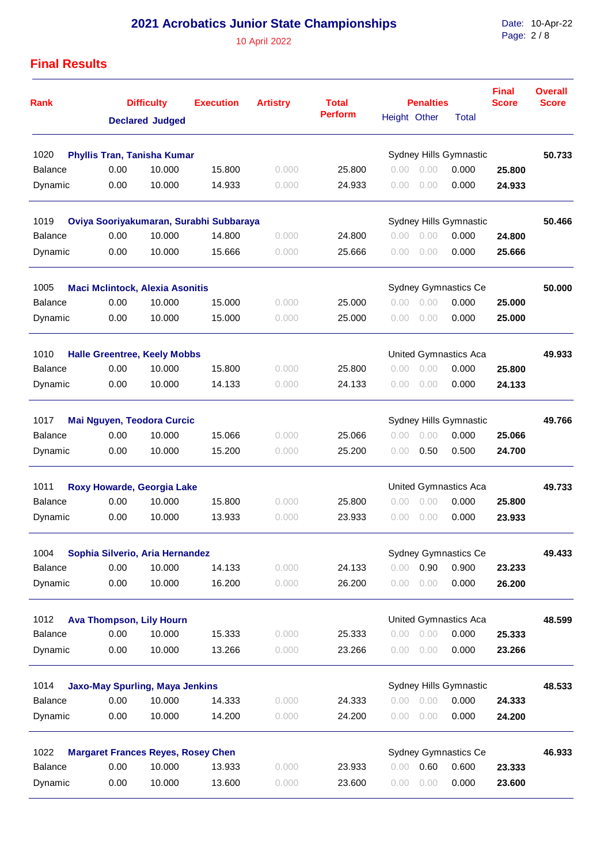10 April 2022

Date: Page: 10-Apr-22 2 / 8

| <b>Rank</b>                                    |      | <b>Difficulty</b>                         | <b>Execution</b>                        | <b>Artistry</b> | <b>Total</b>   |              | <b>Penalties</b>       |                              | <b>Final</b><br><b>Score</b> | <b>Overall</b><br><b>Score</b> |
|------------------------------------------------|------|-------------------------------------------|-----------------------------------------|-----------------|----------------|--------------|------------------------|------------------------------|------------------------------|--------------------------------|
|                                                |      | <b>Declared Judged</b>                    |                                         |                 | <b>Perform</b> | Height Other |                        | <b>Total</b>                 |                              |                                |
| 1020                                           |      | <b>Phyllis Tran, Tanisha Kumar</b>        |                                         |                 |                |              |                        | Sydney Hills Gymnastic       |                              | 50.733                         |
| <b>Balance</b>                                 | 0.00 | 10.000                                    | 15.800                                  | 0.000           | 25.800         | 0.00         | 0.00                   | 0.000                        | 25.800                       |                                |
| Dynamic                                        | 0.00 | 10.000                                    | 14.933                                  | 0.000           | 24.933         | 0.00         | 0.00                   | 0.000                        | 24.933                       |                                |
| 1019                                           |      |                                           | Oviya Sooriyakumaran, Surabhi Subbaraya |                 |                |              |                        | Sydney Hills Gymnastic       |                              | 50.466                         |
| <b>Balance</b>                                 | 0.00 | 10.000                                    | 14.800                                  | 0.000           | 24.800         | 0.00         | 0.00                   | 0.000                        | 24.800                       |                                |
| Dynamic                                        | 0.00 | 10.000                                    | 15.666                                  | 0.000           | 25.666         | 0.00         | 0.00                   | 0.000                        | 25.666                       |                                |
| 1005<br><b>Maci Mclintock, Alexia Asonitis</b> |      |                                           |                                         |                 |                |              |                        | Sydney Gymnastics Ce         |                              | 50.000                         |
| Balance                                        | 0.00 | 10.000                                    | 15.000                                  | 0.000           | 25,000         | 0.00         | 0.00                   | 0.000                        | 25.000                       |                                |
| Dynamic                                        | 0.00 | 10.000                                    | 15.000                                  | 0.000           | 25,000         | 0.00         | 0.00                   | 0.000                        | 25,000                       |                                |
| 1010                                           |      | <b>Halle Greentree, Keely Mobbs</b>       |                                         |                 |                |              |                        | <b>United Gymnastics Aca</b> |                              | 49.933                         |
| <b>Balance</b>                                 | 0.00 | 10.000                                    | 15.800                                  | 0.000           | 25,800         | 0.00         | 0.00                   | 0.000                        | 25.800                       |                                |
| Dynamic                                        | 0.00 | 10.000                                    | 14.133                                  | 0.000           | 24.133         | 0.00         | 0.00                   | 0.000                        | 24.133                       |                                |
| 1017                                           |      | Mai Nguyen, Teodora Curcic                |                                         |                 |                |              | Sydney Hills Gymnastic |                              | 49.766                       |                                |
| <b>Balance</b>                                 | 0.00 | 10.000                                    | 15.066                                  | 0.000           | 25.066         | 0.00         | 0.00                   | 0.000                        | 25.066                       |                                |
| Dynamic                                        | 0.00 | 10.000                                    | 15.200                                  | 0.000           | 25.200         | 0.00         | 0.50                   | 0.500                        | 24.700                       |                                |
| 1011                                           |      | Roxy Howarde, Georgia Lake                |                                         |                 |                |              |                        | United Gymnastics Aca        |                              | 49.733                         |
| <b>Balance</b>                                 | 0.00 | 10.000                                    | 15.800                                  | 0.000           | 25.800         | 0.00         | 0.00                   | 0.000                        | 25.800                       |                                |
| Dynamic                                        | 0.00 | 10.000                                    | 13.933                                  | 0.000           | 23.933         | 0.00         | 0.00                   | 0.000                        | 23.933                       |                                |
| 1004                                           |      | Sophia Silverio, Aria Hernandez           |                                         |                 |                |              |                        | <b>Sydney Gymnastics Ce</b>  |                              | 49.433                         |
| <b>Balance</b>                                 | 0.00 | 10.000                                    | 14.133                                  | 0.000           | 24.133         | 0.00         | 0.90                   | 0.900                        | 23.233                       |                                |
| Dynamic                                        | 0.00 | 10.000                                    | 16.200                                  | 0.000           | 26.200         | 0.00         | 0.00                   | 0.000                        | 26.200                       |                                |
| 1012                                           |      | <b>Ava Thompson, Lily Hourn</b>           |                                         |                 |                |              |                        | United Gymnastics Aca        |                              | 48.599                         |
| <b>Balance</b>                                 | 0.00 | 10.000                                    | 15.333                                  | 0.000           | 25.333         | 0.00         | 0.00                   | 0.000                        | 25.333                       |                                |
| Dynamic                                        | 0.00 | 10.000                                    | 13.266                                  | 0.000           | 23.266         | 0.00         | 0.00                   | 0.000                        | 23.266                       |                                |
| 1014                                           |      | <b>Jaxo-May Spurling, Maya Jenkins</b>    |                                         |                 |                |              |                        | Sydney Hills Gymnastic       |                              | 48.533                         |
| <b>Balance</b>                                 | 0.00 | 10.000                                    | 14.333                                  | 0.000           | 24.333         | 0.00         | 0.00                   | 0.000                        | 24.333                       |                                |
| Dynamic                                        | 0.00 | 10.000                                    | 14.200                                  | 0.000           | 24.200         | 0.00         | 0.00                   | 0.000                        | 24.200                       |                                |
| 1022                                           |      | <b>Margaret Frances Reyes, Rosey Chen</b> |                                         |                 |                |              |                        | Sydney Gymnastics Ce         |                              | 46.933                         |
| <b>Balance</b>                                 | 0.00 | 10.000                                    | 13.933                                  | 0.000           | 23.933         | 0.00         | 0.60                   | 0.600                        | 23.333                       |                                |
| Dynamic                                        | 0.00 | 10.000                                    | 13.600                                  | 0.000           | 23.600         | 0.00         | 0.00                   | 0.000                        | 23.600                       |                                |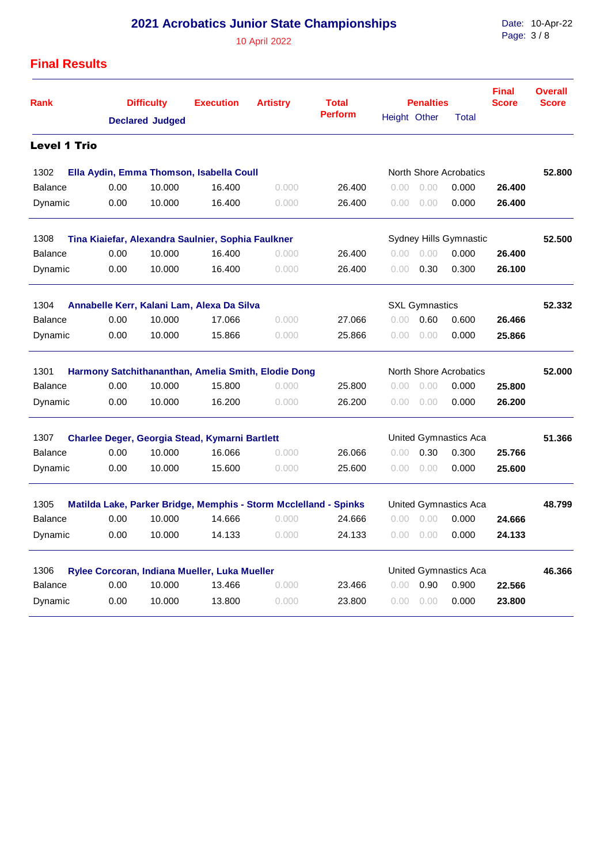10 April 2022

Date: Page: 10-Apr-22 3 / 8

| <b>Rank</b>                                                                          |      | <b>Difficulty</b>      | <b>Execution</b>                               | <b>Artistry</b>                                                  | <b>Total</b>   |                | <b>Penalties</b>      |                        | <b>Final</b><br><b>Score</b> | <b>Overall</b><br><b>Score</b> |
|--------------------------------------------------------------------------------------|------|------------------------|------------------------------------------------|------------------------------------------------------------------|----------------|----------------|-----------------------|------------------------|------------------------------|--------------------------------|
|                                                                                      |      | <b>Declared Judged</b> |                                                |                                                                  | <b>Perform</b> | Height Other   |                       | Total                  |                              |                                |
| <b>Level 1 Trio</b>                                                                  |      |                        |                                                |                                                                  |                |                |                       |                        |                              |                                |
| 1302                                                                                 |      |                        | Ella Aydin, Emma Thomson, Isabella Coull       |                                                                  |                |                |                       | North Shore Acrobatics |                              | 52,800                         |
| <b>Balance</b>                                                                       | 0.00 | 10.000                 | 16.400                                         | 0.000                                                            | 26.400         | 0.00           | 0.00                  | 0.000                  | 26.400                       |                                |
| Dynamic                                                                              | 0.00 | 10.000                 | 16.400                                         | 0.000                                                            | 26.400         | 0.00           | 0.00                  | 0.000                  | 26.400                       |                                |
| 1308<br>Sydney Hills Gymnastic<br>Tina Kiaiefar, Alexandra Saulnier, Sophia Faulkner |      |                        |                                                |                                                                  |                |                |                       |                        | 52,500                       |                                |
| <b>Balance</b>                                                                       | 0.00 | 10.000                 | 16.400                                         | 0.000                                                            | 26.400         | 0.00           | 0.00                  | 0.000                  | 26.400                       |                                |
| Dynamic                                                                              | 0.00 | 10.000                 | 16.400                                         | 0.000                                                            | 26.400         | 0.00           | 0.30                  | 0.300                  | 26.100                       |                                |
| Annabelle Kerr, Kalani Lam, Alexa Da Silva<br>1304                                   |      |                        |                                                |                                                                  |                |                | <b>SXL Gymnastics</b> |                        |                              | 52.332                         |
| <b>Balance</b>                                                                       | 0.00 | 10.000                 | 17.066                                         | 0.000                                                            | 27.066         | 0.00           | 0.60                  | 0.600                  | 26.466                       |                                |
| Dynamic                                                                              | 0.00 | 10.000                 | 15.866                                         | 0.000                                                            | 25.866         | 0.00           | 0.00                  | 0.000                  | 25.866                       |                                |
| 1301<br>Harmony Satchithananthan, Amelia Smith, Elodie Dong                          |      |                        |                                                |                                                                  |                |                |                       | North Shore Acrobatics |                              | 52,000                         |
| <b>Balance</b>                                                                       | 0.00 | 10.000                 | 15.800                                         | 0.000                                                            | 25.800         | 0.00           | 0.00                  | 0.000                  | 25,800                       |                                |
| Dynamic                                                                              | 0.00 | 10.000                 | 16.200                                         | 0.000                                                            | 26.200         | 0.00           | 0.00                  | 0.000                  | 26.200                       |                                |
| 1307                                                                                 |      |                        | Charlee Deger, Georgia Stead, Kymarni Bartlett |                                                                  |                |                |                       | United Gymnastics Aca  |                              | 51.366                         |
| <b>Balance</b>                                                                       | 0.00 | 10.000                 | 16.066                                         | 0.000                                                            | 26.066         | 0.00           | 0.30                  | 0.300                  | 25.766                       |                                |
| Dynamic                                                                              | 0.00 | 10.000                 | 15.600                                         | 0.000                                                            | 25.600         | 0.00           | 0.00                  | 0.000                  | 25.600                       |                                |
| 1305                                                                                 |      |                        |                                                | Matilda Lake, Parker Bridge, Memphis - Storm Mcclelland - Spinks |                |                |                       | United Gymnastics Aca  |                              | 48.799                         |
| <b>Balance</b>                                                                       | 0.00 | 10.000                 | 14.666                                         | 0.000                                                            | 24.666         | $0.00^{\circ}$ | 0.00                  | 0.000                  | 24.666                       |                                |
| Dynamic                                                                              | 0.00 | 10.000                 | 14.133                                         | 0.000                                                            | 24.133         | 0.00           | 0.00                  | 0.000                  | 24.133                       |                                |
| 1306<br>Rylee Corcoran, Indiana Mueller, Luka Mueller                                |      |                        |                                                |                                                                  |                |                |                       | United Gymnastics Aca  |                              | 46.366                         |
| Balance                                                                              | 0.00 | 10.000                 | 13.466                                         | 0.000                                                            | 23.466         | 0.00           | 0.90                  | 0.900                  | 22.566                       |                                |
| Dynamic                                                                              | 0.00 | 10.000                 | 13.800                                         | 0.000                                                            | 23.800         | 0.00           | 0.00                  | 0.000                  | 23.800                       |                                |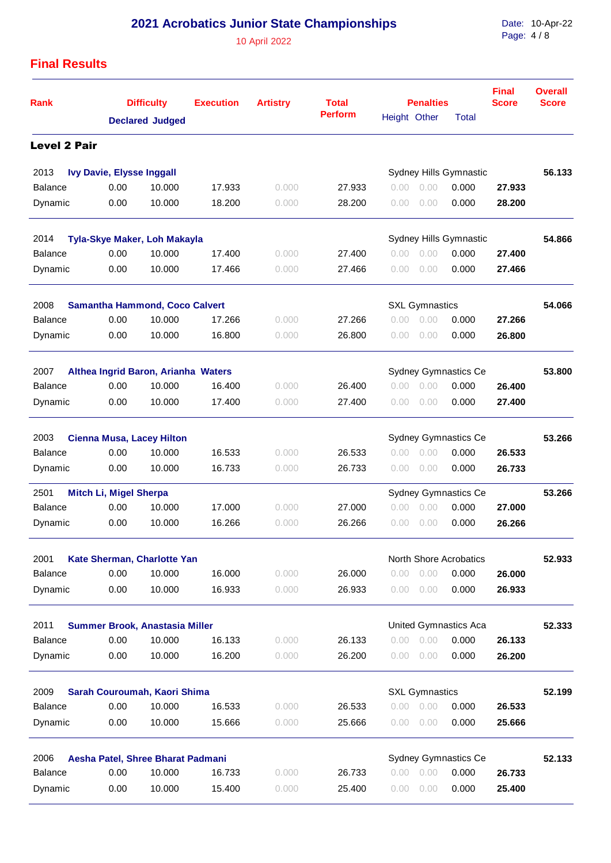10 April 2022

Date: 10-Apr-22 Page: 4 / 8

| <b>Rank</b>         |                                  | <b>Difficulty</b>                     | <b>Execution</b> | <b>Artistry</b> | <b>Total</b><br><b>Perform</b> |                | <b>Penalties</b>      |                        | <b>Final</b><br><b>Score</b> | <b>Overall</b><br><b>Score</b> |
|---------------------|----------------------------------|---------------------------------------|------------------|-----------------|--------------------------------|----------------|-----------------------|------------------------|------------------------------|--------------------------------|
|                     |                                  | <b>Declared Judged</b>                |                  |                 |                                | Height Other   |                       | <b>Total</b>           |                              |                                |
| <b>Level 2 Pair</b> |                                  |                                       |                  |                 |                                |                |                       |                        |                              |                                |
| 2013                | <b>Ivy Davie, Elysse Inggall</b> |                                       |                  |                 |                                |                |                       | Sydney Hills Gymnastic |                              | 56.133                         |
| <b>Balance</b>      | 0.00                             | 10.000                                | 17.933           | 0.000           | 27.933                         | 0.00           | 0.00                  | 0.000                  | 27.933                       |                                |
| Dynamic             | 0.00                             | 10.000                                | 18.200           | 0.000           | 28.200                         | $0.00^{\circ}$ | 0.00                  | 0.000                  | 28.200                       |                                |
| 2014                |                                  | <b>Tyla-Skye Maker, Loh Makayla</b>   |                  |                 |                                |                |                       | Sydney Hills Gymnastic |                              | 54.866                         |
| <b>Balance</b>      | 0.00                             | 10.000                                | 17.400           | 0.000           | 27.400                         | 0.00           | 0.00                  | 0.000                  | 27.400                       |                                |
| Dynamic             | 0.00                             | 10.000                                | 17.466           | 0.000           | 27.466                         | 0.00           | 0.00                  | 0.000                  | 27.466                       |                                |
| 2008                |                                  | <b>Samantha Hammond, Coco Calvert</b> |                  |                 |                                |                | <b>SXL Gymnastics</b> |                        |                              | 54.066                         |
| <b>Balance</b>      | 0.00                             | 10.000                                | 17.266           | 0.000           | 27.266                         | 0.00           | 0.00                  | 0.000                  | 27.266                       |                                |
| Dynamic             | 0.00                             | 10.000                                | 16.800           | 0.000           | 26.800                         | 0.00           | 0.00                  | 0.000                  | 26.800                       |                                |
| 2007                |                                  | Althea Ingrid Baron, Arianha Waters   |                  |                 |                                |                |                       | Sydney Gymnastics Ce   |                              | 53,800                         |
| <b>Balance</b>      | 0.00                             | 10.000                                | 16.400           | 0.000           | 26.400                         | 0.00           | 0.00                  | 0.000                  | 26.400                       |                                |
| Dynamic             | 0.00                             | 10.000                                | 17.400           | 0.000           | 27.400                         | 0.00           | 0.00                  | 0.000                  | 27.400                       |                                |
| 2003                |                                  | <b>Cienna Musa, Lacey Hilton</b>      |                  |                 |                                |                |                       | Sydney Gymnastics Ce   |                              | 53.266                         |
| <b>Balance</b>      | 0.00                             | 10.000                                | 16.533           | 0.000           | 26.533                         | 0.00           | 0.00                  | 0.000                  | 26.533                       |                                |
| Dynamic             | 0.00                             | 10.000                                | 16.733           | 0.000           | 26.733                         | 0.00           | 0.00                  | 0.000                  | 26.733                       |                                |
| 2501                | <b>Mitch Li, Migel Sherpa</b>    |                                       |                  |                 |                                |                |                       | Sydney Gymnastics Ce   |                              | 53.266                         |
| <b>Balance</b>      | 0.00                             | 10.000                                | 17.000           | 0.000           | 27,000                         | 0.00           | 0.00                  | 0.000                  | 27,000                       |                                |
| Dynamic             | 0.00                             | 10.000                                | 16.266           | 0.000           | 26.266                         | 0.00           | 0.00                  | 0.000                  | 26.266                       |                                |
| 2001                |                                  | Kate Sherman, Charlotte Yan           |                  |                 |                                |                |                       | North Shore Acrobatics |                              | 52.933                         |
| <b>Balance</b>      | 0.00                             | 10.000                                | 16.000           | 0.000           | 26.000                         | 0.00           | 0.00                  | 0.000                  | 26.000                       |                                |
| Dynamic             | 0.00                             | 10.000                                | 16.933           | 0.000           | 26.933                         | 0.00           | 0.00                  | 0.000                  | 26.933                       |                                |
| 2011                |                                  | Summer Brook, Anastasia Miller        |                  |                 |                                |                |                       | United Gymnastics Aca  |                              | 52.333                         |
| <b>Balance</b>      | 0.00                             | 10.000                                | 16.133           | 0.000           | 26.133                         | 0.00           | 0.00                  | 0.000                  | 26.133                       |                                |
| Dynamic             | 0.00                             | 10.000                                | 16.200           | 0.000           | 26.200                         | 0.00           | 0.00                  | 0.000                  | 26.200                       |                                |
| 2009                |                                  | Sarah Couroumah, Kaori Shima          |                  |                 |                                |                | <b>SXL Gymnastics</b> |                        |                              | 52.199                         |
| <b>Balance</b>      | 0.00                             | 10.000                                | 16.533           | 0.000           | 26.533                         | 0.00           | 0.00                  | 0.000                  | 26.533                       |                                |
| Dynamic             | 0.00                             | 10.000                                | 15.666           | 0.000           | 25.666                         | 0.00           | 0.00                  | 0.000                  | 25.666                       |                                |
| 2006                |                                  | Aesha Patel, Shree Bharat Padmani     |                  |                 |                                |                |                       | Sydney Gymnastics Ce   |                              | 52.133                         |
| <b>Balance</b>      | 0.00                             | 10.000                                | 16.733           | 0.000           | 26.733                         | 0.00           | 0.00                  | 0.000                  | 26.733                       |                                |
| Dynamic             | 0.00                             | 10.000                                | 15.400           | 0.000           | 25.400                         | 0.00           | 0.00                  | 0.000                  | 25.400                       |                                |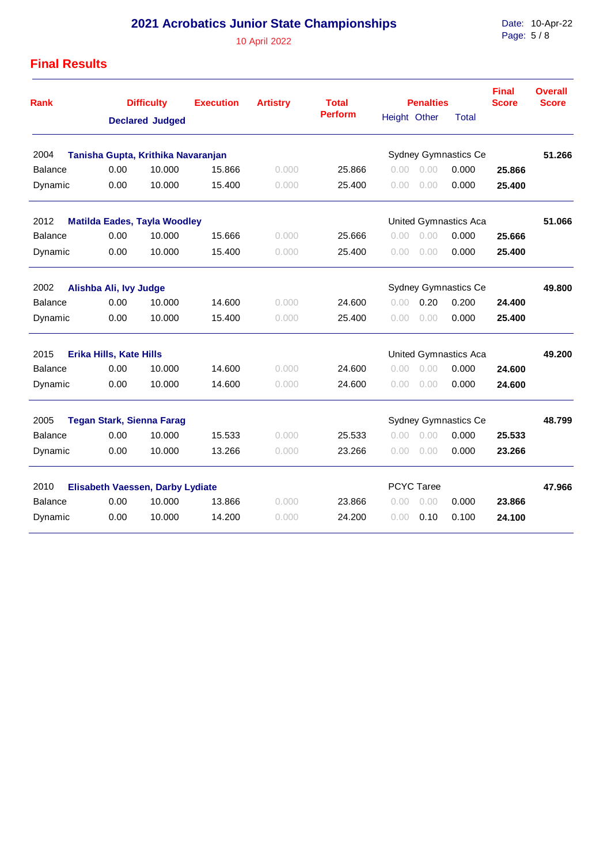10 April 2022

Date: 10-Apr-22 Page: 5 / 8

| <b>Rank</b>    |                                                          | <b>Difficulty</b>                   | <b>Execution</b> | <b>Artistry</b> | <b>Total</b>   | <b>Penalties</b> |            | <b>Final</b><br><b>Score</b> | <b>Overall</b><br><b>Score</b> |        |
|----------------|----------------------------------------------------------|-------------------------------------|------------------|-----------------|----------------|------------------|------------|------------------------------|--------------------------------|--------|
|                |                                                          | <b>Declared Judged</b>              |                  |                 | <b>Perform</b> | Height Other     |            | <b>Total</b>                 |                                |        |
| 2004           |                                                          | Tanisha Gupta, Krithika Navaranjan  |                  |                 |                |                  |            | <b>Sydney Gymnastics Ce</b>  |                                | 51.266 |
| <b>Balance</b> | 0.00                                                     | 10.000                              | 15.866           | 0.000           | 25.866         | 0.00             | 0.00       | 0.000                        | 25.866                         |        |
| Dynamic        | 0.00                                                     | 10.000                              | 15.400           | 0.000           | 25.400         | 0.00             | 0.00       | 0.000                        | 25.400                         |        |
| 2012           |                                                          | <b>Matilda Eades, Tayla Woodley</b> |                  |                 |                |                  |            | United Gymnastics Aca        |                                | 51.066 |
| <b>Balance</b> | 0.00                                                     | 10.000                              | 15.666           | 0.000           | 25.666         | 0.00             | 0.00       | 0.000                        | 25.666                         |        |
| Dynamic        | 0.00                                                     | 10.000                              | 15.400           | 0.000           | 25.400         | 0.00             | 0.00       | 0.000                        | 25.400                         |        |
| 2002           | Alishba Ali, Ivy Judge<br>Sydney Gymnastics Ce           |                                     |                  |                 |                |                  |            |                              |                                | 49.800 |
| <b>Balance</b> | 0.00                                                     | 10.000                              | 14.600           | 0.000           | 24.600         | 0.00             | 0.20       | 0.200                        | 24.400                         |        |
| Dynamic        | 0.00                                                     | 10.000                              | 15.400           | 0.000           | 25.400         | 0.00             | 0.00       | 0.000                        | 25.400                         |        |
| 2015           | Erika Hills, Kate Hills                                  |                                     |                  |                 |                |                  |            | <b>United Gymnastics Aca</b> |                                | 49.200 |
| <b>Balance</b> | 0.00                                                     | 10.000                              | 14.600           | 0.000           | 24.600         | 0.00             | 0.00       | 0.000                        | 24.600                         |        |
| Dynamic        | 0.00                                                     | 10.000                              | 14.600           | 0.000           | 24.600         | 0.00             | 0.00       | 0.000                        | 24.600                         |        |
| 2005           | <b>Tegan Stark, Sienna Farag</b><br>Sydney Gymnastics Ce |                                     |                  |                 |                |                  |            |                              |                                | 48.799 |
| <b>Balance</b> | 0.00                                                     | 10.000                              | 15.533           | 0.000           | 25.533         | 0.00             | 0.00       | 0.000                        | 25.533                         |        |
| Dynamic        | 0.00                                                     | 10.000                              | 13.266           | 0.000           | 23.266         | 0.00             | 0.00       | 0.000                        | 23.266                         |        |
| 2010           |                                                          | Elisabeth Vaessen, Darby Lydiate    |                  |                 |                |                  | PCYC Taree |                              |                                | 47.966 |
| <b>Balance</b> | 0.00                                                     | 10.000                              | 13.866           | 0.000           | 23.866         | 0.00             | 0.00       | 0.000                        | 23.866                         |        |
| Dynamic        | 0.00                                                     | 10.000                              | 14.200           | 0.000           | 24.200         | 0.00             | 0.10       | 0.100                        | 24.100                         |        |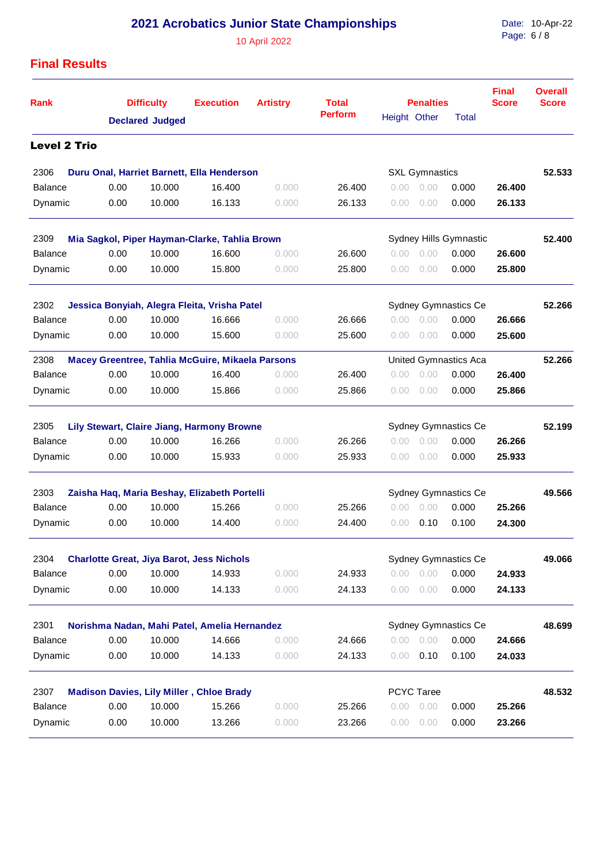10 April 2022

Date: 10-Apr-22 Page: 6 / 8

| <b>Rank</b>         |      | <b>Difficulty</b>      | <b>Execution</b>                                 | <b>Artistry</b> | <b>Total</b><br><b>Perform</b> | Height Other   | <b>Penalties</b>      | Total                       | <b>Final</b><br><b>Score</b> | <b>Overall</b><br><b>Score</b> |
|---------------------|------|------------------------|--------------------------------------------------|-----------------|--------------------------------|----------------|-----------------------|-----------------------------|------------------------------|--------------------------------|
|                     |      | <b>Declared Judged</b> |                                                  |                 |                                |                |                       |                             |                              |                                |
| <b>Level 2 Trio</b> |      |                        |                                                  |                 |                                |                |                       |                             |                              |                                |
| 2306                |      |                        | Duru Onal, Harriet Barnett, Ella Henderson       |                 |                                |                | <b>SXL Gymnastics</b> |                             |                              | 52.533                         |
| Balance             | 0.00 | 10.000                 | 16.400                                           | 0.000           | 26.400                         | 0.00           | 0.00                  | 0.000                       | 26.400                       |                                |
| Dynamic             | 0.00 | 10.000                 | 16.133                                           | 0.000           | 26.133                         | 0.00           | 0.00                  | 0.000                       | 26.133                       |                                |
| 2309                |      |                        | Mia Sagkol, Piper Hayman-Clarke, Tahlia Brown    |                 |                                |                |                       | Sydney Hills Gymnastic      |                              | 52.400                         |
| <b>Balance</b>      | 0.00 | 10.000                 | 16.600                                           | 0.000           | 26.600                         | $0.00^{\circ}$ | 0.00                  | 0.000                       | 26.600                       |                                |
| Dynamic             | 0.00 | 10.000                 | 15.800                                           | 0.000           | 25.800                         | 0.00           | 0.00                  | 0.000                       | 25,800                       |                                |
| 2302                |      |                        | Jessica Bonyiah, Alegra Fleita, Vrisha Patel     |                 |                                |                |                       | <b>Sydney Gymnastics Ce</b> |                              | 52.266                         |
| <b>Balance</b>      | 0.00 | 10.000                 | 16.666                                           | 0.000           | 26.666                         | 0.00           | 0.00                  | 0.000                       | 26.666                       |                                |
| Dynamic             | 0.00 | 10.000                 | 15.600                                           | 0.000           | 25.600                         | 0.00           | 0.00                  | 0.000                       | 25.600                       |                                |
| 2308                |      |                        | Macey Greentree, Tahlia McGuire, Mikaela Parsons |                 |                                |                |                       | United Gymnastics Aca       |                              | 52.266                         |
| <b>Balance</b>      | 0.00 | 10.000                 | 16.400                                           | 0.000           | 26.400                         | 0.00           | 0.00                  | 0.000                       | 26.400                       |                                |
| Dynamic             | 0.00 | 10.000                 | 15.866                                           | 0.000           | 25.866                         | 0.00           | 0.00                  | 0.000                       | 25.866                       |                                |
| 2305                |      |                        | Lily Stewart, Claire Jiang, Harmony Browne       |                 |                                |                |                       | Sydney Gymnastics Ce        |                              | 52.199                         |
| <b>Balance</b>      | 0.00 | 10.000                 | 16.266                                           | 0.000           | 26.266                         | 0.00           | 0.00                  | 0.000                       | 26.266                       |                                |
| Dynamic             | 0.00 | 10.000                 | 15.933                                           | 0.000           | 25.933                         | 0.00           | 0.00                  | 0.000                       | 25.933                       |                                |
| 2303                |      |                        | Zaisha Haq, Maria Beshay, Elizabeth Portelli     |                 |                                |                |                       | <b>Sydney Gymnastics Ce</b> |                              | 49.566                         |
| <b>Balance</b>      | 0.00 | 10.000                 | 15.266                                           | 0.000           | 25.266                         | 0.00           | 0.00                  | 0.000                       | 25.266                       |                                |
| Dynamic             | 0.00 | 10.000                 | 14.400                                           | 0.000           | 24.400                         | 0.00           | 0.10                  | 0.100                       | 24.300                       |                                |
| 2304                |      |                        | <b>Charlotte Great, Jiya Barot, Jess Nichols</b> |                 |                                |                |                       | Sydney Gymnastics Ce        |                              | 49.066                         |
| <b>Balance</b>      | 0.00 | 10.000                 | 14.933                                           | 0.000           | 24.933                         |                | $0.00 \quad 0.00$     | 0.000                       | 24.933                       |                                |
| Dynamic             | 0.00 | 10.000                 | 14.133                                           | 0.000           | 24.133                         | 0.00           | 0.00                  | 0.000                       | 24.133                       |                                |
| 2301                |      |                        | Norishma Nadan, Mahi Patel, Amelia Hernandez     |                 |                                |                |                       | Sydney Gymnastics Ce        |                              | 48.699                         |
| <b>Balance</b>      | 0.00 | 10.000                 | 14.666                                           | 0.000           | 24.666                         | 0.00           | 0.00                  | 0.000                       | 24.666                       |                                |
| Dynamic             | 0.00 | 10.000                 | 14.133                                           | 0.000           | 24.133                         | 0.00           | 0.10                  | 0.100                       | 24.033                       |                                |
| 2307                |      |                        | <b>Madison Davies, Lily Miller, Chloe Brady</b>  |                 |                                |                | <b>PCYC Taree</b>     |                             |                              | 48.532                         |
| <b>Balance</b>      | 0.00 | 10.000                 | 15.266                                           | 0.000           | 25.266                         | 0.00           | 0.00                  | 0.000                       | 25.266                       |                                |
| Dynamic             | 0.00 | 10.000                 | 13.266                                           | 0.000           | 23.266                         | 0.00           | 0.00                  | 0.000                       | 23.266                       |                                |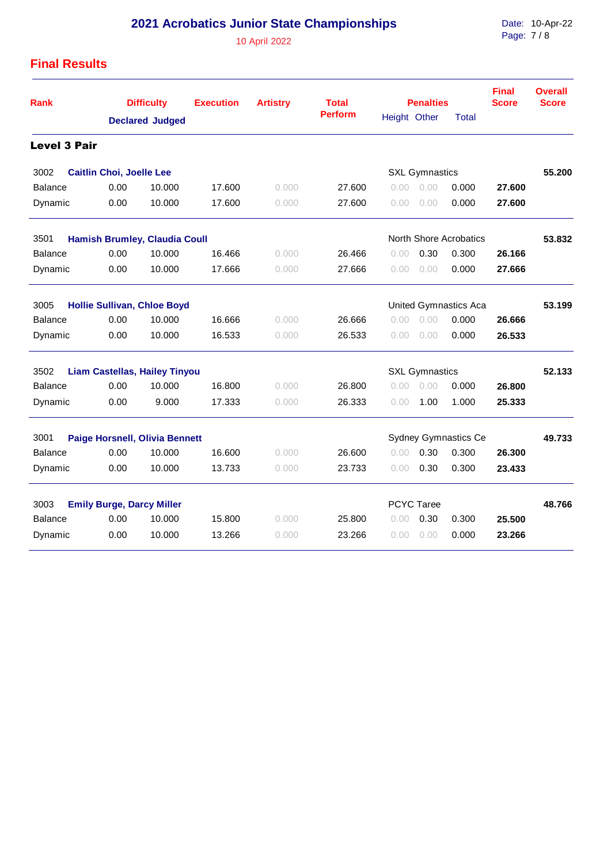10 April 2022

Date: Page: 10-Apr-22 7 / 8

| <b>Rank</b>                                   |                                                             | <b>Difficulty</b>      | <b>Execution</b> | <b>Artistry</b> | <b>Total</b>   |              | <b>Penalties</b>      |                        | <b>Final</b><br><b>Score</b> | <b>Overall</b><br><b>Score</b> |
|-----------------------------------------------|-------------------------------------------------------------|------------------------|------------------|-----------------|----------------|--------------|-----------------------|------------------------|------------------------------|--------------------------------|
|                                               |                                                             | <b>Declared Judged</b> |                  |                 | <b>Perform</b> | Height Other |                       | <b>Total</b>           |                              |                                |
| <b>Level 3 Pair</b>                           |                                                             |                        |                  |                 |                |              |                       |                        |                              |                                |
| 3002                                          | <b>Caitlin Choi, Joelle Lee</b>                             |                        |                  |                 |                |              | <b>SXL Gymnastics</b> |                        |                              | 55.200                         |
| <b>Balance</b>                                | 0.00                                                        | 10.000                 | 17.600           | 0.000           | 27.600         | 0.00         | 0.00                  | 0.000                  | 27.600                       |                                |
| Dynamic                                       | 0.00                                                        | 10.000                 | 17.600           | 0.000           | 27.600         | 0.00         | 0.00                  | 0.000                  | 27.600                       |                                |
| 3501                                          | <b>Hamish Brumley, Claudia Coull</b>                        |                        |                  |                 |                |              |                       | North Shore Acrobatics |                              | 53.832                         |
| <b>Balance</b>                                | 0.00                                                        | 10.000                 | 16.466           | 0.000           | 26.466         | 0.00         | 0.30                  | 0.300                  | 26.166                       |                                |
| Dynamic                                       | 0.00                                                        | 10.000                 | 17.666           | 0.000           | 27.666         | 0.00         | 0.00                  | 0.000                  | 27.666                       |                                |
| 3005                                          | <b>Hollie Sullivan, Chloe Boyd</b><br>United Gymnastics Aca |                        |                  |                 |                |              |                       |                        | 53.199                       |                                |
| <b>Balance</b>                                | 0.00                                                        | 10.000                 | 16.666           | 0.000           | 26.666         | 0.00         | 0.00                  | 0.000                  | 26.666                       |                                |
| Dynamic                                       | 0.00                                                        | 10.000                 | 16.533           | 0.000           | 26.533         | 0.00         | 0.00                  | 0.000                  | 26.533                       |                                |
| 3502                                          | <b>Liam Castellas, Hailey Tinyou</b>                        |                        |                  |                 |                |              | <b>SXL Gymnastics</b> |                        | 52.133                       |                                |
| <b>Balance</b>                                | 0.00                                                        | 10.000                 | 16.800           | 0.000           | 26.800         | 0.00         | 0.00                  | 0.000                  | 26.800                       |                                |
| Dynamic                                       | 0.00                                                        | 9.000                  | 17.333           | 0.000           | 26.333         | 0.00         | 1.00                  | 1.000                  | 25.333                       |                                |
| 3001<br><b>Paige Horsnell, Olivia Bennett</b> |                                                             |                        |                  |                 |                |              |                       | Sydney Gymnastics Ce   |                              | 49.733                         |
| <b>Balance</b>                                | 0.00                                                        | 10.000                 | 16.600           | 0.000           | 26.600         | 0.00         | 0.30                  | 0.300                  | 26.300                       |                                |
| Dynamic                                       | 0.00                                                        | 10.000                 | 13.733           | 0.000           | 23.733         | 0.00         | 0.30                  | 0.300                  | 23.433                       |                                |
| 3003                                          | <b>Emily Burge, Darcy Miller</b>                            |                        |                  |                 |                |              | <b>PCYC Taree</b>     |                        | 48.766                       |                                |
| <b>Balance</b>                                | 0.00                                                        | 10.000                 | 15.800           | 0.000           | 25.800         | 0.00         | 0.30                  | 0.300                  | 25.500                       |                                |
| Dynamic                                       | 0.00                                                        | 10.000                 | 13.266           | 0.000           | 23.266         | 0.00         | 0.00                  | 0.000                  | 23.266                       |                                |